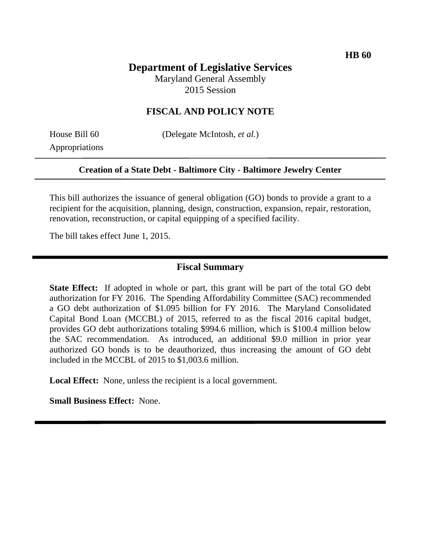### **Department of Legislative Services**

Maryland General Assembly 2015 Session

#### **FISCAL AND POLICY NOTE**

Appropriations

House Bill 60 (Delegate McIntosh, *et al.*)

#### **Creation of a State Debt - Baltimore City - Baltimore Jewelry Center**

This bill authorizes the issuance of general obligation (GO) bonds to provide a grant to a recipient for the acquisition, planning, design, construction, expansion, repair, restoration, renovation, reconstruction, or capital equipping of a specified facility.

The bill takes effect June 1, 2015.

#### **Fiscal Summary**

**State Effect:** If adopted in whole or part, this grant will be part of the total GO debt authorization for FY 2016. The Spending Affordability Committee (SAC) recommended a GO debt authorization of \$1.095 billion for FY 2016. The Maryland Consolidated Capital Bond Loan (MCCBL) of 2015, referred to as the fiscal 2016 capital budget, provides GO debt authorizations totaling \$994.6 million, which is \$100.4 million below the SAC recommendation. As introduced, an additional \$9.0 million in prior year authorized GO bonds is to be deauthorized, thus increasing the amount of GO debt included in the MCCBL of 2015 to \$1,003.6 million.

**Local Effect:** None, unless the recipient is a local government.

**Small Business Effect:** None.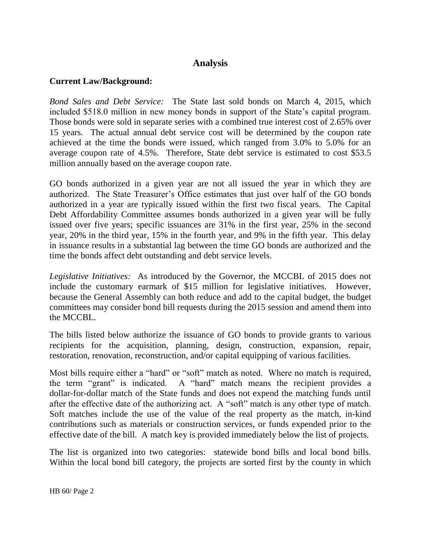## **Analysis**

### **Current Law/Background:**

*Bond Sales and Debt Service:* The State last sold bonds on March 4, 2015, which included \$518.0 million in new money bonds in support of the State's capital program. Those bonds were sold in separate series with a combined true interest cost of 2.65% over 15 years. The actual annual debt service cost will be determined by the coupon rate achieved at the time the bonds were issued, which ranged from 3.0% to 5.0% for an average coupon rate of 4.5%. Therefore, State debt service is estimated to cost \$53.5 million annually based on the average coupon rate.

GO bonds authorized in a given year are not all issued the year in which they are authorized. The State Treasurer's Office estimates that just over half of the GO bonds authorized in a year are typically issued within the first two fiscal years. The Capital Debt Affordability Committee assumes bonds authorized in a given year will be fully issued over five years; specific issuances are 31% in the first year, 25% in the second year, 20% in the third year, 15% in the fourth year, and 9% in the fifth year. This delay in issuance results in a substantial lag between the time GO bonds are authorized and the time the bonds affect debt outstanding and debt service levels.

*Legislative Initiatives:* As introduced by the Governor, the MCCBL of 2015 does not include the customary earmark of \$15 million for legislative initiatives. However, because the General Assembly can both reduce and add to the capital budget, the budget committees may consider bond bill requests during the 2015 session and amend them into the MCCBL.

The bills listed below authorize the issuance of GO bonds to provide grants to various recipients for the acquisition, planning, design, construction, expansion, repair, restoration, renovation, reconstruction, and/or capital equipping of various facilities.

Most bills require either a "hard" or "soft" match as noted. Where no match is required, the term "grant" is indicated. A "hard" match means the recipient provides a dollar-for-dollar match of the State funds and does not expend the matching funds until after the effective date of the authorizing act. A "soft" match is any other type of match. Soft matches include the use of the value of the real property as the match, in-kind contributions such as materials or construction services, or funds expended prior to the effective date of the bill. A match key is provided immediately below the list of projects.

The list is organized into two categories: statewide bond bills and local bond bills. Within the local bond bill category, the projects are sorted first by the county in which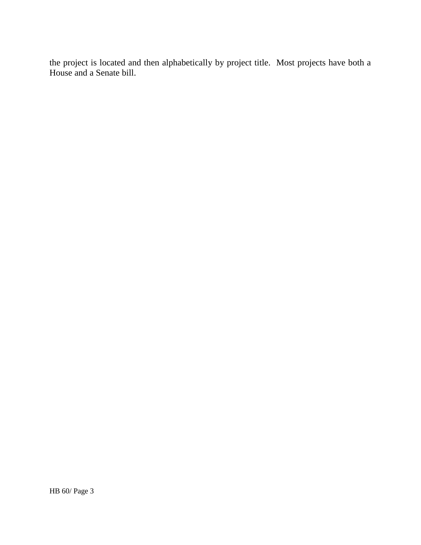the project is located and then alphabetically by project title. Most projects have both a House and a Senate bill.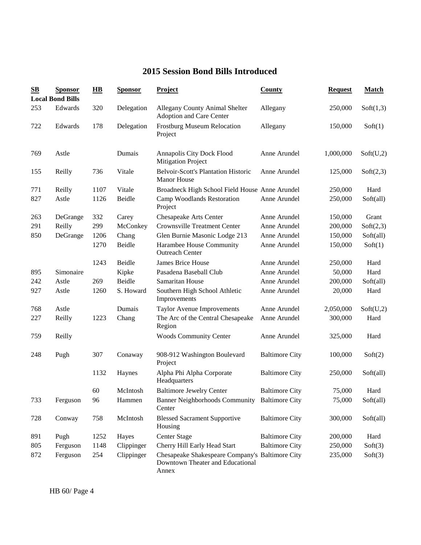## **2015 Session Bond Bills Introduced**

| $\mathbf{S}\mathbf{B}$ | <b>Sponsor</b>          | $\overline{HB}$ | <b>Sponsor</b> | <b>Project</b>                                                                               | <b>County</b>         | <b>Request</b> | <b>Match</b> |
|------------------------|-------------------------|-----------------|----------------|----------------------------------------------------------------------------------------------|-----------------------|----------------|--------------|
|                        | <b>Local Bond Bills</b> |                 |                |                                                                                              |                       |                |              |
| 253                    | Edwards                 | 320             | Delegation     | Allegany County Animal Shelter<br>Adoption and Care Center                                   | Allegany              | 250,000        | Soft(1,3)    |
| 722                    | Edwards                 | 178             | Delegation     | <b>Frostburg Museum Relocation</b><br>Project                                                | Allegany              | 150,000        | Soft(1)      |
| 769                    | Astle                   |                 | Dumais         | Annapolis City Dock Flood<br><b>Mitigation Project</b>                                       | Anne Arundel          | 1,000,000      | Soft(U,2)    |
| 155                    | Reilly                  | 736             | Vitale         | <b>Belvoir-Scott's Plantation Historic</b><br><b>Manor House</b>                             | Anne Arundel          | 125,000        | Soft(2,3)    |
| 771                    | Reilly                  | 1107            | Vitale         | Broadneck High School Field House Anne Arundel                                               |                       | 250,000        | Hard         |
| 827                    | Astle                   | 1126            | Beidle         | Camp Woodlands Restoration<br>Project                                                        | Anne Arundel          | 250,000        | Soft(all)    |
| 263                    | DeGrange                | 332             | Carey          | Chesapeake Arts Center                                                                       | Anne Arundel          | 150,000        | Grant        |
| 291                    | Reilly                  | 299             | McConkey       | <b>Crownsville Treatment Center</b>                                                          | Anne Arundel          | 200,000        | Soft(2,3)    |
| 850                    | DeGrange                | 1206            | Chang          | Glen Burnie Masonic Lodge 213                                                                | Anne Arundel          | 150,000        | Soft(all)    |
|                        |                         | 1270            | Beidle         | Harambee House Community<br><b>Outreach Center</b>                                           | Anne Arundel          | 150,000        | Soft(1)      |
|                        |                         | 1243            | Beidle         | James Brice House                                                                            | Anne Arundel          | 250,000        | Hard         |
| 895                    | Simonaire               |                 | Kipke          | Pasadena Baseball Club                                                                       | Anne Arundel          | 50,000         | Hard         |
| 242                    | Astle                   | 269             | Beidle         | Samaritan House                                                                              | Anne Arundel          | 200,000        | Soft(all)    |
| 927                    | Astle                   | 1260            | S. Howard      | Southern High School Athletic<br>Improvements                                                | Anne Arundel          | 20,000         | Hard         |
| 768                    | Astle                   |                 | Dumais         | <b>Taylor Avenue Improvements</b>                                                            | Anne Arundel          | 2,050,000      | Soft(U,2)    |
| 227                    | Reilly                  | 1223            | Chang          | The Arc of the Central Chesapeake<br>Region                                                  | Anne Arundel          | 300,000        | Hard         |
| 759                    | Reilly                  |                 |                | <b>Woods Community Center</b>                                                                | Anne Arundel          | 325,000        | Hard         |
| 248                    | Pugh                    | 307             | Conaway        | 908-912 Washington Boulevard<br>Project                                                      | <b>Baltimore City</b> | 100,000        | Soft(2)      |
|                        |                         | 1132            | Haynes         | Alpha Phi Alpha Corporate<br>Headquarters                                                    | <b>Baltimore City</b> | 250,000        | Soft(all)    |
|                        |                         | 60              | McIntosh       | <b>Baltimore Jewelry Center</b>                                                              | <b>Baltimore City</b> | 75,000         | Hard         |
| 733                    | Ferguson                | 96              | Hammen         | Banner Neighborhoods Community Baltimore City<br>Center                                      |                       | 75,000         | Soft(all)    |
| 728                    | Conway                  | 758             | McIntosh       | <b>Blessed Sacrament Supportive</b><br>Housing                                               | <b>Baltimore City</b> | 300,000        | Soft(all)    |
| 891                    | Pugh                    | 1252            | Hayes          | <b>Center Stage</b>                                                                          | <b>Baltimore City</b> | 200,000        | Hard         |
| 805                    | Ferguson                | 1148            | Clippinger     | Cherry Hill Early Head Start                                                                 | <b>Baltimore City</b> | 250,000        | Soft(3)      |
| 872                    | Ferguson                | 254             | Clippinger     | Chesapeake Shakespeare Company's Baltimore City<br>Downtown Theater and Educational<br>Annex |                       | 235,000        | Soft(3)      |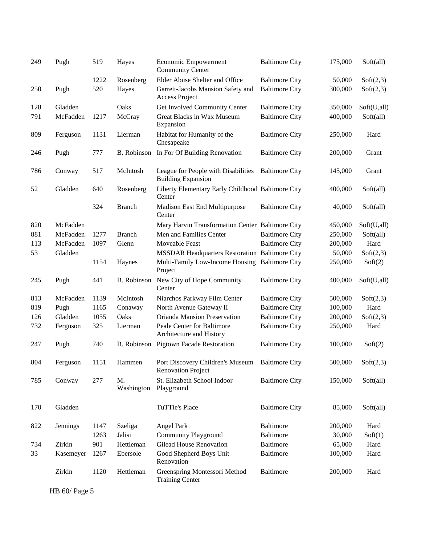| 249 | Pugh      | 519  | Hayes              | <b>Economic Empowerment</b><br><b>Community Center</b>           | <b>Baltimore City</b> | 175,000 | Soft(all)   |
|-----|-----------|------|--------------------|------------------------------------------------------------------|-----------------------|---------|-------------|
|     |           | 1222 | Rosenberg          | Elder Abuse Shelter and Office                                   | <b>Baltimore City</b> | 50,000  | Soft(2,3)   |
| 250 | Pugh      | 520  | Hayes              | Garrett-Jacobs Mansion Safety and<br>Access Project              | <b>Baltimore City</b> | 300,000 | Soft(2,3)   |
| 128 | Gladden   |      | Oaks               | Get Involved Community Center                                    | <b>Baltimore City</b> | 350,000 | Soft(U,all) |
| 791 | McFadden  | 1217 | McCray             | Great Blacks in Wax Museum<br>Expansion                          | <b>Baltimore City</b> | 400,000 | Soft(all)   |
| 809 | Ferguson  | 1131 | Lierman            | Habitat for Humanity of the<br>Chesapeake                        | <b>Baltimore City</b> | 250,000 | Hard        |
| 246 | Pugh      | 777  | B. Robinson        | In For Of Building Renovation                                    | <b>Baltimore City</b> | 200,000 | Grant       |
| 786 | Conway    | 517  | McIntosh           | League for People with Disabilities<br><b>Building Expansion</b> | <b>Baltimore City</b> | 145,000 | Grant       |
| 52  | Gladden   | 640  | Rosenberg          | Liberty Elementary Early Childhood Baltimore City<br>Center      |                       | 400,000 | Soft(all)   |
|     |           | 324  | <b>Branch</b>      | Madison East End Multipurpose<br>Center                          | <b>Baltimore City</b> | 40,000  | Soft(all)   |
| 820 | McFadden  |      |                    | Mary Harvin Transformation Center Baltimore City                 |                       | 450,000 | Soft(U,all) |
| 881 | McFadden  | 1277 | <b>Branch</b>      | Men and Families Center                                          | <b>Baltimore City</b> | 250,000 | Soft(all)   |
| 113 | McFadden  | 1097 | Glenn              | Moveable Feast                                                   | <b>Baltimore City</b> | 200,000 | Hard        |
| 53  | Gladden   |      |                    | <b>MSSDAR Headquarters Restoration Baltimore City</b>            |                       | 50,000  | Soft(2,3)   |
|     |           | 1154 | Haynes             | Multi-Family Low-Income Housing Baltimore City<br>Project        |                       | 250,000 | Soft(2)     |
| 245 | Pugh      | 441  | B. Robinson        | New City of Hope Community<br>Center                             | <b>Baltimore City</b> | 400,000 | Soft(U,all) |
| 813 | McFadden  | 1139 | McIntosh           | Niarchos Parkway Film Center                                     | <b>Baltimore City</b> | 500,000 | Soft(2,3)   |
| 819 | Pugh      | 1165 | Conaway            | North Avenue Gateway II                                          | <b>Baltimore City</b> | 100,000 | Hard        |
| 126 | Gladden   | 1055 | Oaks               | Orianda Mansion Preservation                                     | <b>Baltimore City</b> | 200,000 | Soft(2,3)   |
| 732 | Ferguson  | 325  | Lierman            | Peale Center for Baltimore<br>Architecture and History           | <b>Baltimore City</b> | 250,000 | Hard        |
| 247 | Pugh      | 740  | <b>B.</b> Robinson | <b>Pigtown Facade Restoration</b>                                | <b>Baltimore City</b> | 100,000 | Soft(2)     |
| 804 | Ferguson  | 1151 | Hammen             | Port Discovery Children's Museum<br><b>Renovation Project</b>    | <b>Baltimore City</b> | 500,000 | Soft(2,3)   |
| 785 | Conway    | 277  | M.<br>Washington   | St. Elizabeth School Indoor<br>Playground                        | <b>Baltimore City</b> | 150,000 | Soft(all)   |
| 170 | Gladden   |      |                    | TuTTie's Place                                                   | <b>Baltimore City</b> | 85,000  | Soft(all)   |
| 822 | Jennings  | 1147 | Szeliga            | Angel Park                                                       | Baltimore             | 200,000 | Hard        |
|     |           | 1263 | Jalisi             | <b>Community Playground</b>                                      | Baltimore             | 30,000  | Soft(1)     |
| 734 | Zirkin    | 901  | Hettleman          | <b>Gilead House Renovation</b>                                   | Baltimore             | 65,000  | Hard        |
| 33  | Kasemeyer | 1267 | Ebersole           | Good Shepherd Boys Unit<br>Renovation                            | Baltimore             | 100,000 | Hard        |
|     | Zirkin    | 1120 | Hettleman          | Greenspring Montessori Method<br><b>Training Center</b>          | Baltimore             | 200,000 | Hard        |

HB 60/ Page 5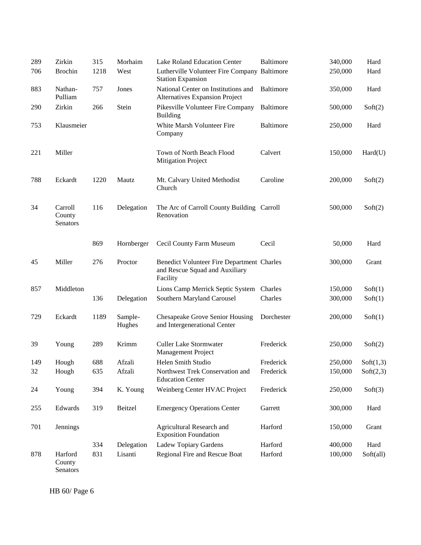| 289 | Zirkin                               | 315  | Morhaim           | Lake Roland Education Center                                                             | <b>Baltimore</b> | 340,000 | Hard      |
|-----|--------------------------------------|------|-------------------|------------------------------------------------------------------------------------------|------------------|---------|-----------|
| 706 | <b>Brochin</b>                       | 1218 | West              | Lutherville Volunteer Fire Company Baltimore<br><b>Station Expansion</b>                 |                  | 250,000 | Hard      |
| 883 | Nathan-<br>Pulliam                   | 757  | Jones             | National Center on Institutions and<br>Alternatives Expansion Project                    | Baltimore        | 350,000 | Hard      |
| 290 | Zirkin                               | 266  | Stein             | Pikesville Volunteer Fire Company<br><b>Building</b>                                     | Baltimore        | 500,000 | Soft(2)   |
| 753 | Klausmeier                           |      |                   | White Marsh Volunteer Fire<br>Company                                                    | Baltimore        | 250,000 | Hard      |
| 221 | Miller                               |      |                   | Town of North Beach Flood<br><b>Mitigation Project</b>                                   | Calvert          | 150,000 | Hard(U)   |
| 788 | Eckardt                              | 1220 | Mautz             | Mt. Calvary United Methodist<br>Church                                                   | Caroline         | 200,000 | Soft(2)   |
| 34  | Carroll<br>County<br><b>Senators</b> | 116  | Delegation        | The Arc of Carroll County Building Carroll<br>Renovation                                 |                  | 500,000 | Soft(2)   |
|     |                                      | 869  | Hornberger        | Cecil County Farm Museum                                                                 | Cecil            | 50,000  | Hard      |
| 45  | Miller                               | 276  | Proctor           | Benedict Volunteer Fire Department Charles<br>and Rescue Squad and Auxiliary<br>Facility |                  | 300,000 | Grant     |
| 857 | Middleton                            |      |                   | Lions Camp Merrick Septic System                                                         | Charles          | 150,000 | Soft(1)   |
|     |                                      | 136  | Delegation        | Southern Maryland Carousel                                                               | Charles          | 300,000 | Soft(1)   |
| 729 | Eckardt                              | 1189 | Sample-<br>Hughes | Chesapeake Grove Senior Housing<br>and Intergenerational Center                          | Dorchester       | 200,000 | Soft(1)   |
| 39  | Young                                | 289  | Krimm             | <b>Culler Lake Stormwater</b><br>Management Project                                      | Frederick        | 250,000 | Soft(2)   |
| 149 | Hough                                | 688  | Afzali            | Helen Smith Studio                                                                       | Frederick        | 250,000 | Soft(1,3) |
| 32  | Hough                                | 635  | Afzali            | Northwest Trek Conservation and<br><b>Education Center</b>                               | Frederick        | 150,000 | Soft(2,3) |
| 24  | Young                                | 394  | K. Young          | Weinberg Center HVAC Project                                                             | Frederick        | 250,000 | Soft(3)   |
| 255 | Edwards                              | 319  | Beitzel           | <b>Emergency Operations Center</b>                                                       | Garrett          | 300,000 | Hard      |
| 701 | Jennings                             |      |                   | Agricultural Research and<br><b>Exposition Foundation</b>                                | Harford          | 150,000 | Grant     |
|     |                                      | 334  | Delegation        | Ladew Topiary Gardens                                                                    | Harford          | 400,000 | Hard      |
| 878 | Harford<br>County                    | 831  | Lisanti           | Regional Fire and Rescue Boat                                                            | Harford          | 100,000 | Soft(all) |

Senators

HB 60/ Page 6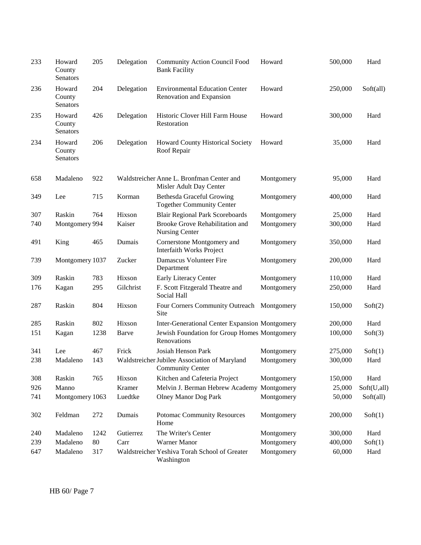| 233 | Howard<br>County<br>Senators | 205  | Delegation | <b>Community Action Council Food</b><br><b>Bank Facility</b>             | Howard     | 500,000 | Hard        |
|-----|------------------------------|------|------------|--------------------------------------------------------------------------|------------|---------|-------------|
| 236 | Howard<br>County<br>Senators | 204  | Delegation | <b>Environmental Education Center</b><br>Renovation and Expansion        | Howard     | 250,000 | Soft(all)   |
| 235 | Howard<br>County<br>Senators | 426  | Delegation | Historic Clover Hill Farm House<br>Restoration                           | Howard     | 300,000 | Hard        |
| 234 | Howard<br>County<br>Senators | 206  | Delegation | Howard County Historical Society<br>Roof Repair                          | Howard     | 35,000  | Hard        |
| 658 | Madaleno                     | 922  |            | Waldstreicher Anne L. Bronfman Center and<br>Misler Adult Day Center     | Montgomery | 95,000  | Hard        |
| 349 | Lee                          | 715  | Korman     | <b>Bethesda Graceful Growing</b><br><b>Together Community Center</b>     | Montgomery | 400,000 | Hard        |
| 307 | Raskin                       | 764  | Hixson     | <b>Blair Regional Park Scoreboards</b>                                   | Montgomery | 25,000  | Hard        |
| 740 | Montgomery 994               |      | Kaiser     | Brooke Grove Rehabilitation and<br>Nursing Center                        | Montgomery | 300,000 | Hard        |
| 491 | King                         | 465  | Dumais     | Cornerstone Montgomery and<br><b>Interfaith Works Project</b>            | Montgomery | 350,000 | Hard        |
| 739 | Montgomery 1037              |      | Zucker     | Damascus Volunteer Fire<br>Department                                    | Montgomery | 200,000 | Hard        |
| 309 | Raskin                       | 783  | Hixson     | Early Literacy Center                                                    | Montgomery | 110,000 | Hard        |
| 176 | Kagan                        | 295  | Gilchrist  | F. Scott Fitzgerald Theatre and<br>Social Hall                           | Montgomery | 250,000 | Hard        |
| 287 | Raskin                       | 804  | Hixson     | Four Corners Community Outreach Montgomery<br>Site                       |            | 150,000 | Soft(2)     |
| 285 | Raskin                       | 802  | Hixson     | <b>Inter-Generational Center Expansion Montgomery</b>                    |            | 200,000 | Hard        |
| 151 | Kagan                        | 1238 | Barve      | Jewish Foundation for Group Homes Montgomery<br>Renovations              |            | 100,000 | Soft(3)     |
| 341 | Lee                          | 467  | Frick      | Josiah Henson Park                                                       | Montgomery | 275,000 | Soft(1)     |
| 238 | Madaleno                     | 143  |            | Waldstreicher Jubilee Association of Maryland<br><b>Community Center</b> | Montgomery | 300,000 | Hard        |
| 308 | Raskin                       | 765  | Hixson     | Kitchen and Cafeteria Project                                            | Montgomery | 150,000 | Hard        |
| 926 | Manno                        |      | Kramer     | Melvin J. Berman Hebrew Academy Montgomery                               |            | 25,000  | Soft(U,all) |
| 741 | Montgomery 1063              |      | Luedtke    | <b>Olney Manor Dog Park</b>                                              | Montgomery | 50,000  | Soft(all)   |
| 302 | Feldman                      | 272  | Dumais     | <b>Potomac Community Resources</b><br>Home                               | Montgomery | 200,000 | Soft(1)     |
| 240 | Madaleno                     | 1242 | Gutierrez  | The Writer's Center                                                      | Montgomery | 300,000 | Hard        |
| 239 | Madaleno                     | 80   | Carr       | Warner Manor                                                             | Montgomery | 400,000 | Soft(1)     |
| 647 | Madaleno                     | 317  |            | Waldstreicher Yeshiva Torah School of Greater<br>Washington              | Montgomery | 60,000  | Hard        |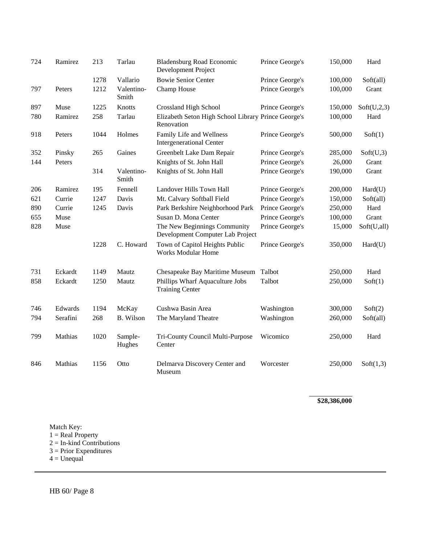| 724 | Ramirez  | 213  | Tarlau              | <b>Bladensburg Road Economic</b><br>Development Project           | Prince George's | 150,000 | Hard        |
|-----|----------|------|---------------------|-------------------------------------------------------------------|-----------------|---------|-------------|
|     |          | 1278 | Vallario            | <b>Bowie Senior Center</b>                                        | Prince George's | 100,000 | Soft(all)   |
| 797 | Peters   | 1212 | Valentino-<br>Smith | Champ House                                                       | Prince George's | 100,000 | Grant       |
| 897 | Muse     | 1225 | Knotts              | <b>Crossland High School</b>                                      | Prince George's | 150,000 | Soft(U,2,3) |
| 780 | Ramirez  | 258  | Tarlau              | Elizabeth Seton High School Library Prince George's<br>Renovation |                 | 100,000 | Hard        |
| 918 | Peters   | 1044 | Holmes              | Family Life and Wellness<br><b>Intergenerational Center</b>       | Prince George's | 500,000 | Soft(1)     |
| 352 | Pinsky   | 265  | Gaines              | Greenbelt Lake Dam Repair                                         | Prince George's | 285,000 | Soft(U,3)   |
| 144 | Peters   |      |                     | Knights of St. John Hall                                          | Prince George's | 26,000  | Grant       |
|     |          | 314  | Valentino-<br>Smith | Knights of St. John Hall                                          | Prince George's | 190,000 | Grant       |
| 206 | Ramirez  | 195  | Fennell             | Landover Hills Town Hall                                          | Prince George's | 200,000 | Hard(U)     |
| 621 | Currie   | 1247 | Davis               | Mt. Calvary Softball Field                                        | Prince George's | 150,000 | Soft(all)   |
| 890 | Currie   | 1245 | Davis               | Park Berkshire Neighborhood Park                                  | Prince George's | 250,000 | Hard        |
| 655 | Muse     |      |                     | Susan D. Mona Center                                              | Prince George's | 100,000 | Grant       |
| 828 | Muse     |      |                     | The New Beginnings Community<br>Development Computer Lab Project  | Prince George's | 15,000  | Soft(U,all) |
|     |          | 1228 | C. Howard           | Town of Capitol Heights Public<br><b>Works Modular Home</b>       | Prince George's | 350,000 | Hard(U)     |
| 731 | Eckardt  | 1149 | Mautz               | Chesapeake Bay Maritime Museum                                    | Talbot          | 250,000 | Hard        |
| 858 | Eckardt  | 1250 | Mautz               | Phillips Wharf Aquaculture Jobs<br><b>Training Center</b>         | Talbot          | 250,000 | Soft(1)     |
| 746 | Edwards  | 1194 | McKay               | Cushwa Basin Area                                                 | Washington      | 300,000 | Soft(2)     |
| 794 | Serafini | 268  | <b>B.</b> Wilson    | The Maryland Theatre                                              | Washington      | 260,000 | Soft(all)   |
| 799 | Mathias  | 1020 | Sample-<br>Hughes   | Tri-County Council Multi-Purpose<br>Center                        | Wicomico        | 250,000 | Hard        |
| 846 | Mathias  | 1156 | Otto                | Delmarva Discovery Center and<br>Museum                           | Worcester       | 250,000 | Soft(1,3)   |

**\$28,386,000**

Match Key:

 $1 = Real Property$ 

2 = In-kind Contributions

 $3$  = Prior Expenditures

 $4 = Unequal$